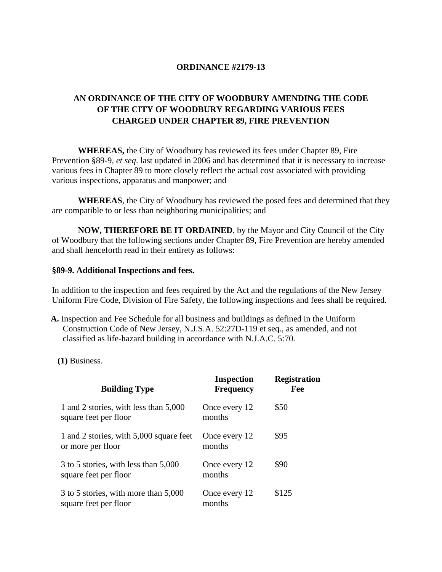# **ORDINANCE #2179-13**

# **AN ORDINANCE OF THE CITY OF WOODBURY AMENDING THE CODE OF THE CITY OF WOODBURY REGARDING VARIOUS FEES CHARGED UNDER CHAPTER 89, FIRE PREVENTION**

**WHEREAS,** the City of Woodbury has reviewed its fees under Chapter 89, Fire Prevention §89-9, *et seq*. last updated in 2006 and has determined that it is necessary to increase various fees in Chapter 89 to more closely reflect the actual cost associated with providing various inspections, apparatus and manpower; and

**WHEREAS**, the City of Woodbury has reviewed the posed fees and determined that they are compatible to or less than neighboring municipalities; and

**NOW, THEREFORE BE IT ORDAINED**, by the Mayor and City Council of the City of Woodbury that the following sections under Chapter 89, Fire Prevention are hereby amended and shall henceforth read in their entirety as follows:

#### **§89-9. Additional Inspections and fees.**

In addition to the inspection and fees required by the Act and the regulations of the New Jersey Uniform Fire Code, Division of Fire Safety, the following inspections and fees shall be required.

- **[A.](http://www.ecode360.com/11413430#11413441)** Inspection and Fee Schedule for all business and buildings as defined in the Uniform Construction Code of New Jersey, N.J.S.A. 52:27D-119 et seq., as amended, and not classified as life-hazard building in accordance with N.J.A.C. 5:70.
	- **[\(1\)](http://www.ecode360.com/11413430#11413442)** Business.

| <b>Building Type</b>                                           | <b>Inspection</b><br><b>Frequency</b> | <b>Registration</b><br>Fee |
|----------------------------------------------------------------|---------------------------------------|----------------------------|
| 1 and 2 stories, with less than 5,000<br>square feet per floor | Once every 12<br>months               | \$50                       |
| 1 and 2 stories, with 5,000 square feet<br>or more per floor   | Once every 12<br>months               | \$95                       |
| 3 to 5 stories, with less than 5,000<br>square feet per floor  | Once every 12<br>months               | \$90                       |
| 3 to 5 stories, with more than 5,000<br>square feet per floor  | Once every 12<br>months               | \$125                      |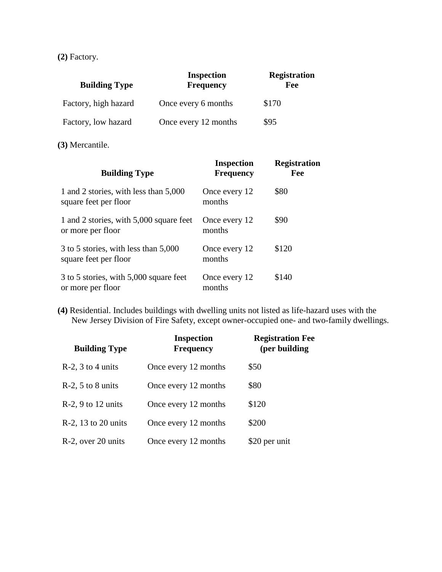**[\(2\)](http://www.ecode360.com/11413430#11413443)** Factory.

| <b>Building Type</b> | <b>Inspection</b><br><b>Frequency</b> | <b>Registration</b><br>Fee |
|----------------------|---------------------------------------|----------------------------|
| Factory, high hazard | Once every 6 months                   | \$170                      |
| Factory, low hazard  | Once every 12 months                  | \$95                       |

**[\(3\)](http://www.ecode360.com/11413430#11413444)** Mercantile.

| <b>Building Type</b>                                           | <b>Inspection</b><br><b>Frequency</b> | <b>Registration</b><br>Fee |
|----------------------------------------------------------------|---------------------------------------|----------------------------|
| 1 and 2 stories, with less than 5,000<br>square feet per floor | Once every 12<br>months               | \$80                       |
| 1 and 2 stories, with 5,000 square feet<br>or more per floor   | Once every 12<br>months               | \$90                       |
| 3 to 5 stories, with less than 5,000<br>square feet per floor  | Once every 12<br>months               | \$120                      |
| 3 to 5 stories, with 5,000 square feet<br>or more per floor    | Once every 12<br>months               | \$140                      |

**[\(4\)](http://www.ecode360.com/11413430#11413445)** Residential. Includes buildings with dwelling units not listed as life-hazard uses with the New Jersey Division of Fire Safety, except owner-occupied one- and two-family dwellings.

| <b>Building Type</b>   | <b>Inspection</b><br><b>Frequency</b> | <b>Registration Fee</b><br>(per building |
|------------------------|---------------------------------------|------------------------------------------|
| $R-2$ , 3 to 4 units   | Once every 12 months                  | \$50                                     |
| $R-2$ , 5 to 8 units   | Once every 12 months                  | \$80                                     |
| $R-2$ , 9 to 12 units  | Once every 12 months                  | \$120                                    |
| $R-2$ , 13 to 20 units | Once every 12 months                  | \$200                                    |
| R-2, over 20 units     | Once every 12 months                  | \$20 per unit                            |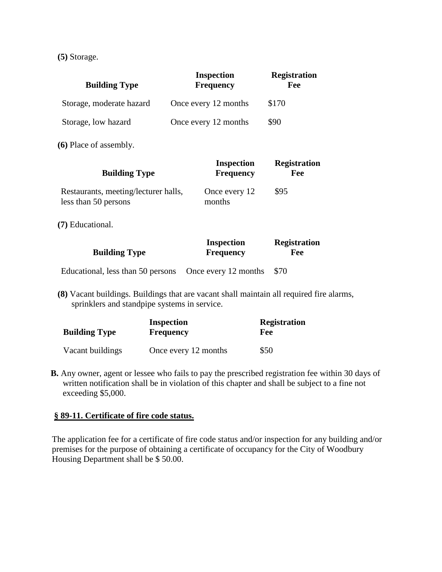**[\(5\)](http://www.ecode360.com/11413430#11413446)** Storage.

| <b>Building Type</b>     | <b>Inspection</b><br><b>Frequency</b> | <b>Registration</b><br>Fee |
|--------------------------|---------------------------------------|----------------------------|
| Storage, moderate hazard | Once every 12 months                  | \$170                      |
| Storage, low hazard      | Once every 12 months                  | \$90                       |

**[\(6\)](http://www.ecode360.com/11413430#11413447)** Place of assembly.

| <b>Building Type</b>                                         | <b>Inspection</b><br><b>Frequency</b> | <b>Registration</b><br>Fee |
|--------------------------------------------------------------|---------------------------------------|----------------------------|
| Restaurants, meeting/lecturer halls,<br>less than 50 persons | Once every 12<br>months               | \$95                       |
| (7) Educational.                                             |                                       |                            |
|                                                              |                                       |                            |

|                      | <b>Inspection</b> | <b>Registration</b> |
|----------------------|-------------------|---------------------|
| <b>Building Type</b> | <b>Frequency</b>  | Fee                 |
|                      |                   |                     |

Educational, less than 50 persons Once every 12 months \$70

**[\(8\)](http://www.ecode360.com/11413430#11413449)** Vacant buildings. Buildings that are vacant shall maintain all required fire alarms, sprinklers and standpipe systems in service.

| <b>Building Type</b> | <b>Inspection</b><br><b>Frequency</b> | <b>Registration</b><br>Fee |
|----------------------|---------------------------------------|----------------------------|
| Vacant buildings     | Once every 12 months                  | \$50                       |

**[B.](http://www.ecode360.com/11413430#11413450)** Any owner, agent or lessee who fails to pay the prescribed registration fee within 30 days of written notification shall be in violation of this chapter and shall be subject to a fine not exceeding \$5,000.

# **[§ 89-11. Certificate of fire code status.](http://www.ecode360.com/11413430#11413456)**

The application fee for a certificate of fire code status and/or inspection for any building and/or premises for the purpose of obtaining a certificate of occupancy for the City of Woodbury Housing Department shall be \$ 50.00.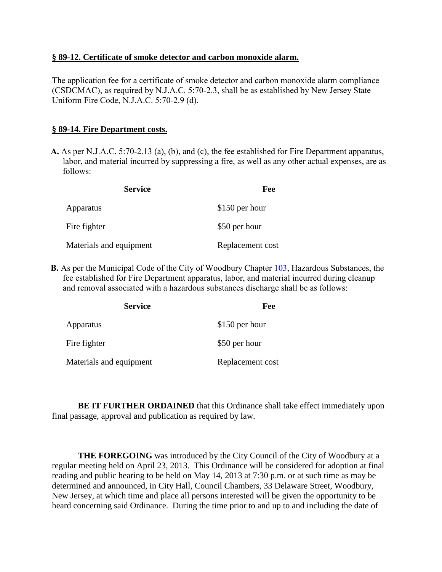#### **[§ 89-12. Certificate of smoke detector and carbon monoxide alarm.](http://www.ecode360.com/11413430#11413457)**

The application fee for a certificate of smoke detector and carbon monoxide alarm compliance (CSDCMAC), as required by N.J.A.C. 5:70-2.3, shall be as established by New Jersey State Uniform Fire Code, N.J.A.C. 5:70-2.9 (d).

### **[§ 89-14. Fire Department costs.](http://www.ecode360.com/11413430#11413459)**

**[A.](http://www.ecode360.com/11413430#11413460)** As per N.J.A.C. 5:70-2.13 (a), (b), and (c), the fee established for Fire Department apparatus, labor, and material incurred by suppressing a fire, as well as any other actual expenses, are as follows:

| <b>Service</b>          | Fee              |
|-------------------------|------------------|
| Apparatus               | \$150 per hour   |
| Fire fighter            | \$50 per hour    |
| Materials and equipment | Replacement cost |

**[B.](http://www.ecode360.com/11413430#11413461)** As per the Municipal Code of the City of Woodbury Chapter [103,](http://www.ecode360.com/11413585#11413585) Hazardous Substances, the fee established for Fire Department apparatus, labor, and material incurred during cleanup and removal associated with a hazardous substances discharge shall be as follows:

| <b>Service</b>          | Fee              |
|-------------------------|------------------|
| Apparatus               | \$150 per hour   |
| Fire fighter            | \$50 per hour    |
| Materials and equipment | Replacement cost |

**BE IT FURTHER ORDAINED** that this Ordinance shall take effect immediately upon final passage, approval and publication as required by law.

**THE FOREGOING** was introduced by the City Council of the City of Woodbury at a regular meeting held on April 23, 2013. This Ordinance will be considered for adoption at final reading and public hearing to be held on May 14, 2013 at 7:30 p.m. or at such time as may be determined and announced, in City Hall, Council Chambers, 33 Delaware Street, Woodbury, New Jersey, at which time and place all persons interested will be given the opportunity to be heard concerning said Ordinance. During the time prior to and up to and including the date of